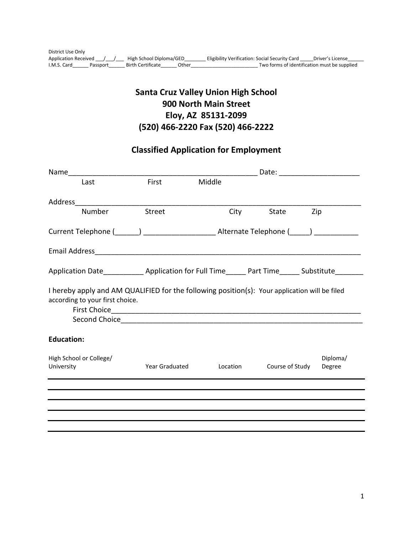# **Santa Cruz Valley Union High School 900 North Main Street Eloy, AZ 85131-2099 (520) 466-2220 Fax (520) 466-2222**

# **Classified Application for Employment**

|                                                                                                                                  |                                                                                                 | Date: ____________________ |                 |                    |  |  |  |
|----------------------------------------------------------------------------------------------------------------------------------|-------------------------------------------------------------------------------------------------|----------------------------|-----------------|--------------------|--|--|--|
| Last                                                                                                                             | First                                                                                           | Middle                     |                 |                    |  |  |  |
| Address                                                                                                                          |                                                                                                 |                            |                 |                    |  |  |  |
| Number                                                                                                                           | <b>Street</b>                                                                                   | City                       | State           | Zip                |  |  |  |
|                                                                                                                                  | Current Telephone (______) __________________________Alternate Telephone (_____) ______________ |                            |                 |                    |  |  |  |
|                                                                                                                                  |                                                                                                 |                            |                 |                    |  |  |  |
| Application Date ______________ Application for Full Time _______ Part Time _______ Substitute ________                          |                                                                                                 |                            |                 |                    |  |  |  |
| I hereby apply and AM QUALIFIED for the following position(s): Your application will be filed<br>according to your first choice. |                                                                                                 |                            |                 |                    |  |  |  |
| <b>Education:</b>                                                                                                                |                                                                                                 |                            |                 |                    |  |  |  |
| High School or College/<br>University                                                                                            | <b>Year Graduated</b>                                                                           | Location                   | Course of Study | Diploma/<br>Degree |  |  |  |
|                                                                                                                                  |                                                                                                 |                            |                 |                    |  |  |  |
|                                                                                                                                  |                                                                                                 |                            |                 |                    |  |  |  |
|                                                                                                                                  |                                                                                                 |                            |                 |                    |  |  |  |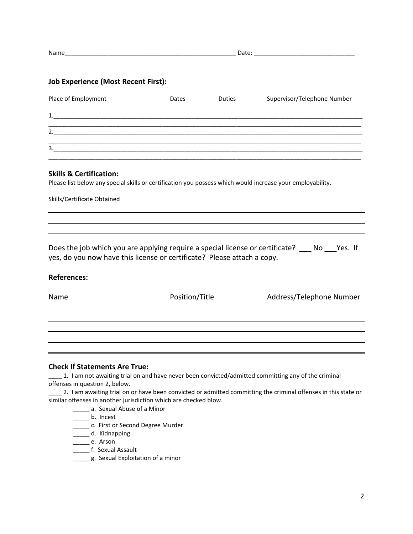| . .<br>N |  |
|----------|--|
|          |  |

# **Job Experience (Most Recent First):**

| Place of Employment | Dates | <b>Duties</b> | Supervisor/Telephone Number |
|---------------------|-------|---------------|-----------------------------|
| 1                   |       |               |                             |
| $\overline{2}$ .    |       |               |                             |
| 3                   |       |               |                             |

### **Skills & Certification:**

Please list below any special skills or certification you possess which would increase your employability.

Skills/Certificate Obtained

Does the job which you are applying require a special license or certificate? \_\_\_ No \_\_\_Yes. If yes, do you now have this license or certificate? Please attach a copy.

#### **References:**

Name **Name** Position/Title Address/Telephone Number

#### **Check If Statements Are True:**

\_\_\_\_ 1. I am not awaiting trial on and have never been convicted/admitted committing any of the criminal offenses in question 2, below.

\_\_\_\_ 2. I am awaiting trial on or have been convicted or admitted committing the criminal offenses in this state or similar offenses in another jurisdiction which are checked blow.

\_\_\_\_\_\_\_ a. Sexual Abuse of a Minor

\_\_\_\_\_\_\_ b. Incest

\_\_\_\_\_ c. First or Second Degree Murder

\_\_\_\_\_ d. Kidnapping

\_\_\_\_\_ e. Arson

- \_\_\_\_\_\_\_\_\_ f. Sexual Assault
- g. Sexual Exploitation of a minor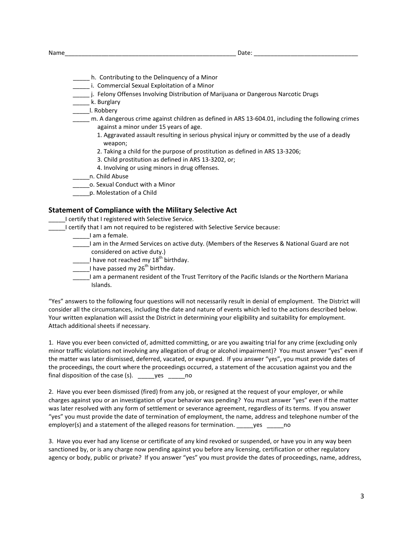- \_\_\_\_\_ h. Contributing to the Delinquency of a Minor
- **\_\_\_\_\_\_** i. Commercial Sexual Exploitation of a Minor
- \_\_\_\_\_ j. Felony Offenses Involving Distribution of Marijuana or Dangerous Narcotic Drugs
- \_\_\_\_\_ k. Burglary
- \_\_\_\_\_l. Robbery
- \_\_\_\_\_ m. A dangerous crime against children as defined in ARS 13-604.01, including the following crimes against a minor under 15 years of age.
	- 1. Aggravated assault resulting in serious physical injury or committed by the use of a deadly weapon;
	- 2. Taking a child for the purpose of prostitution as defined in ARS 13-3206;
	- 3. Child prostitution as defined in ARS 13-3202, or;
	- 4. Involving or using minors in drug offenses.
- \_\_\_\_\_n. Child Abuse
- \_\_\_\_\_o. Sexual Conduct with a Minor
- \_\_\_\_\_p. Molestation of a Child

#### **Statement of Compliance with the Military Selective Act**

\_\_\_\_\_I certify that I registered with Selective Service.

- \_\_\_\_\_I certify that I am not required to be registered with Selective Service because:
	- \_\_\_\_\_I am a female.
	- \_\_\_\_\_I am in the Armed Services on active duty. (Members of the Reserves & National Guard are not considered on active duty.)
	- $\Box$  I have not reached my 18<sup>th</sup> birthday.
	- 1 have passed my 26<sup>th</sup> birthday.
	- \_\_\_\_\_I am a permanent resident of the Trust Territory of the Pacific Islands or the Northern Mariana Islands.

"Yes" answers to the following four questions will not necessarily result in denial of employment. The District will consider all the circumstances, including the date and nature of events which led to the actions described below. Your written explanation will assist the District in determining your eligibility and suitability for employment. Attach additional sheets if necessary.

1. Have you ever been convicted of, admitted committing, or are you awaiting trial for any crime (excluding only minor traffic violations not involving any allegation of drug or alcohol impairment)? You must answer "yes" even if the matter was later dismissed, deferred, vacated, or expunged. If you answer "yes", you must provide dates of the proceedings, the court where the proceedings occurred, a statement of the accusation against you and the final disposition of the case (s). \_\_\_\_\_yes \_\_\_\_\_no

2. Have you ever been dismissed (fired) from any job, or resigned at the request of your employer, or while charges against you or an investigation of your behavior was pending? You must answer "yes" even if the matter was later resolved with any form of settlement or severance agreement, regardless of its terms. If you answer "yes" you must provide the date of termination of employment, the name, address and telephone number of the employer(s) and a statement of the alleged reasons for termination. yes eno

3. Have you ever had any license or certificate of any kind revoked or suspended, or have you in any way been sanctioned by, or is any charge now pending against you before any licensing, certification or other regulatory agency or body, public or private? If you answer "yes" you must provide the dates of proceedings, name, address,